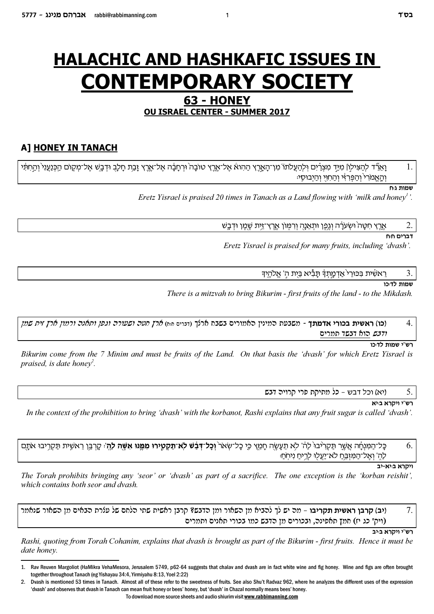# **HALACHIC AND HASHKAFIC ISSUES IN CONTEMPORARY SOCIET**

# 63 - HONEY **OU ISRAEL CENTER - SUMMER 2017**

# A] HONEY IN TANACH

וַאֵרֵּד לְהַצִּילְוֹ מִיַּד מִצְרַיִם וְלְהַעֲלֹתֹוֹ מִן־הָאֲרֶץ הַהִוא אֶל־אֱרֶץ טוֹבָה וּרְחָבָ֫ה אֶל־אֶרֶץ זָבַת חָלָבֻ וּדְבָשׁ אֶל־מְקָוֹם הַכְּנַעֲנִי וְהַחִתִּי והאמרי והפרזי והחוי והיבוסי:

שמות גוח

Eretz Yisrael is praised 20 times in Tanach as a Land flowing with 'milk and honey''.

אֱרֵץ חִטָּה וּשִׂעֹרָה וְגֵפֵן וּתָאֵנָהָ וִרִמְּוֹן אֱרֵץ־זֵיִת שֶׁמֵן וּדְבֵשׁ

דברים חום

2

3

Eretz Yisrael is praised for many fruits, including 'dvash'.

ראשית בכורי אדמתד תַּבִּיא בֵּיִת הִ' אֱלֹהֵידִּ

שמות לדוכו

There is a mitzvah to bring Bikurim - first fruits of the land - to the Mikdash.

(**כו) ראשית בכורי אדמתך** - משבעת המינין האמורים בשבח ארלך (דנרים <sub>יי</sub>ּה) *ארץ חטה ושעורה וגפן ותאנה ורמון ארץ זית שמן*  $\overline{4}$ *ודבש* הוא דבשד תמרים

רש"י שמות לד:כו

Bikurim come from the 7 Minim and must be fruits of the Land. On that basis the 'dvash' for which Eretz Yisrael is praised, is date hone  $v^2$ .

> ויא) וכל דבש – כל מתיקת פרי קרויה דבש 5.

> > רש"י ויקרא בוּיא

In the context of the prohibition to bring 'dvash' with the korbanot. Rashi explains that any fruit sugar is called 'dvash'.

כּל־הַמּנחַה אַשׁר תַּקַרִיּבוּ לַה ' לֹא תַעַשַׂה חַמֵּץ כֵּי כַל־שָׂאֹר **וְכַל־דְּבָשׁ לֹא־תַקְטֵירוּ מִמֵּנּוּ אִשֶּׁה לַהָ**׳: קָרְבֵּן רֵאשֶׁית תַּקְרֵיבוּ אֹתָם 6. לה' ואל־המזבח לא־יעלו לריח ניחח:

יקרא בּיא-יב<sup>ּ</sup>

The Torah prohibits bringing any 'seor' or 'dvash' as part of a sacrifice. The one exception is the 'korban reishit', which contains both seor and dyash.

(יב) **קרבן ראשית תקריבו** – מה יש לך להביא מן השאור ומן הדבש? קרבן ראשית שתי הלחם של עלרת הבאים מן השאור שנאמר 7. (ויק' כג יז) חמץ תאפינה, ובכורים מן הדבש כמו בכורי תאנים ותמרים

רש"י ויקרא בּינב

Rashi, quoting from Torah Cohanim, explains that dvash is brought as part of the Bikurim - first fruits. Hence it must be date honey.

To download more source sheets and audio shiurim visit www.rabbimanning.com

Rav Reuven Margoliot (HaMikra VehaMesora, Jerusalem 5749, p62-64 suggests that chalav and dvash are in fact white wine and fig honey. Wine and figs are often brought  $\mathbf{1}$ . together throughout Tanach (eg Yishayau 34:4, Yirmiyahu 8:13, Yoel 2:22)

 $\mathfrak{p}$ Dvash is mentioned 53 times in Tanach. Almost all of these refer to the sweetness of fruits. See also Shu't Radvaz 962, where he analyzes the different uses of the expression 'dvash' and observes that dvash in Tanach can mean fruit honey or bees' honey, but 'dvash' in Chazal normally means bees' honey.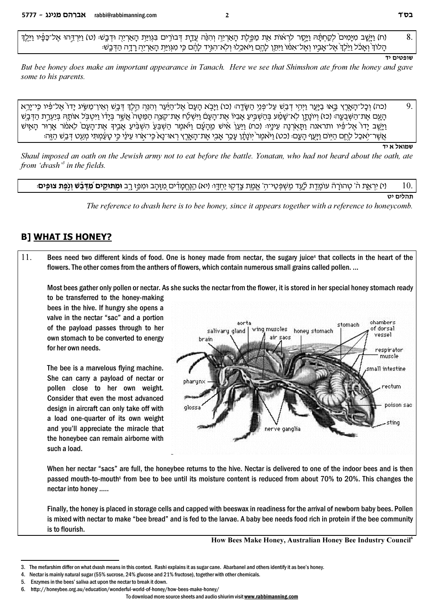(ח) וַיַּשַׁב מְיַמְים ׁלַקַחְתֵּה וַיַּסַר לְרָאוֹת אֶת מַפֵּלֶת הָאָרְיֶה וְהִנֶּה עָדַת דְּבוֹרִים בְּגְוַיַּת הָאֲרְיֶה וּדְבָשׁיּ (ט) וַיִּרְדֵּהוּ אֱל־כַּפֵּיוּ וַיַּלֵד 8. הַלוֹדְ וְאַכֹּל וַיַּלְדְ אֲל־אָבֵיו וְאֲל־אָמוֹ וַיִּתֵּן לָהֶם וַיֹּאכֵלוּ וְלֹא־הְגִיד לְהֶם כִּי מְגִוְיַת הַאָרְיָה רַדָה הַדְּבֵשׁ:

#### שופטים יד

But bee honey does make an important appearance in Tanach. Here we see that Shimshon ate from the honey and gave some to his parents.

9. (כה) וְכַל־הַאֲרֵץ בֵּאוּ בַיֵּעֵר וַיְהֵי דְבָשׁ עַל־פְּנֵי הַשָּׂדֵהּ (כו) וַיַּבָא הַעָם אֱל־הַיַּעֵר וְהִנֶּה הֱלֵךְ דְּבָשׁ וְאֵין־מַשֶּׂיג יַדוֹ אֱל־פִּיו כֵּי־יַרֵא העם את־השבעה (כז) ויונתו לא־שמע בהשביע אביו את־העם וישלח את־קצה המטה אשר בידו ויטבל אותה ביערת הדבש וַיְשֹׁב יַדוֹ אַל־פִּ֫יו ותראנה ותּאֹרנה עיניו: (כח) וִיּעוֹ איש מהעט ויאמר השבע השבע אביד את־העם לאמר ארור האיש ְאֵשֶׁר־יִאכָל לָחֱם הַיִּוֹם וַיַּעֲף הַעֲם: (כט) וַיֹּאמֶר יְוֹנַתַּ֫וְ עַכֶּר אֲבִיָ אֱת־הָאֲרֵץ רְאוּ־נַא כֵּי־אָרוּ עֵינַי כֵּי טַעַּמְתִּי מְעַט דְּבֵשׁ הָזֵה:

#### וטרונאל א נז

Shaul imposed an oath on the Jewish army not to eat before the battle. Yonatan, who had not heard about the oath, ate from 'dvash'<sup>3</sup> in the fields.

(י) יראת ה' טהורה עומדת לעד משפטי־ה' אמת צדקו יחדו (יא) הנחמדים מזהב ומפז רב **ומתוקים מדבש ונפת צופים**: 10.

תהלים יט

The reference to dyash here is to bee honey, since it appears together with a reference to honeycomb.

### **B] WHAT IS HONEY?**

11. Bees need two different kinds of food. One is honey made from nectar, the sugary juice<sup>4</sup> that collects in the heart of the flowers. The other comes from the anthers of flowers, which contain numerous small grains called pollen. ...

Most bees gather only pollen or nectar. As she sucks the nectar from the flower, it is stored in her special honey stomach ready

to be transferred to the honey-making bees in the hive. If hungry she opens a valve in the nectar "sac" and a portion of the payload passes through to her own stomach to be converted to energy for her own needs.

The bee is a marvelous flying machine. She can carry a payload of nectar or pollen close to her own weight. Consider that even the most advanced design in aircraft can only take off with a load one-quarter of its own weight and you'll appreciate the miracle that the honeybee can remain airborne with such a load.



When her nectar "sacs" are full, the honeybee returns to the hive. Nectar is delivered to one of the indoor bees and is then passed mouth-to-mouth<sup>5</sup> from bee to bee until its moisture content is reduced from about 70% to 20%. This changes the nectar into honey .....

Finally, the honey is placed in storage cells and capped with beeswax in readiness for the arrival of newborn baby bees. Pollen is mixed with nectar to make "bee bread" and is fed to the larvae. A baby bee needs food rich in protein if the bee community is to flourish.

How Bees Make Honey, Australian Honey Bee Industry Council<sup>6</sup>

To download more source sheets and audio shiurim visit www.rabbimanning.com

<sup>3.</sup> The mefarshim differ on what dyash means in this context. Rashi explains it as sugar cane. Abarbanel and others identify it as bee's honey.

<sup>4.</sup> Nectar is mainly natural sugar (55% sucrose, 24% glucose and 21% fructose), together with other chemicals.

<sup>5.</sup> Enzymes in the bees' saliva act upon the nectar to break it down.

http://honeybee.org.au/education/wonderful-world-of-honey/how-bees-make-honey/ 6.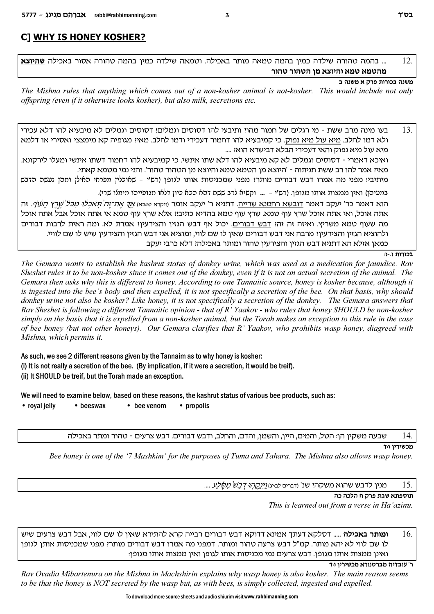# **C] WHY IS HONEY KOSHER?**

... בהמה טהורה שילדה כמיו בהמה טמאה מותר באכילה. וטמאה שילדה כמיו בהמה טהורה אסור באכילה **שהיוצא**  $12$ מהטמא טמא והיוצא מו הטהור טהור

### משנה בכורות פרק א משנה ב

The Mishna rules that anything which comes out of a non-kosher animal is not-kosher. This would include not only offspring (even if it otherwise looks kosher), but also milk, secretions etc.

בעו מינה מרב ששת - מי רגלים של חמור מהוז ותיבעי להו דסוסים וגמלים! דסוסים וגמלים לא מיבעיא להו דלא עכירי 13. ולא דמו לחלב. מיא עול מיא נפוק. כי קמיבעיא להו דחמור דעכירי ודמו לחלב. מאיי מגופיה קא מימצצי ואסירי או דלמא מיא עול מיא נפוק והאי דעכירי הבלא דבישרא הוא: .... ואיכא דאמרי - דסוסים וגמלים לא קא מיבעיא להו דלא שתו אינשי. כי קמיבעיא להו דחמור דשתו אינשי ומעלו לירקונא. מאיז אמר להו רב ששת תניתוה - 'היוצא מן הטמא טמא והיוצא מן הטהור טהור'. והני נמי מטמא קאתי. מיתיביו מפני מה אמרו דבש דבורים מותרו מפני שמכניסות אותו לגופן (רש"י - שאוכלין מפרחי האילן ומהן נעשה הדנש במעירן) ואין ממצות אותו מגופן. (רש'י – … וקשיא לרב ששת דרא רכא כיון דלאו מגופיירו מימלו שרי). הוא דאמר כר' יעקב דאמר דובשא רחמנא שרייה. דתניא ר' יעקב אומר <sub>(ייקרא יאכא)</sub> *אך את־זה תאכלו מכל שרץ העוף.* זה אתה אוכל, ואי אתה אוכל שרץ עוף טמא. שרץ עוף טמא בהדיא כתיב!! אלא שרץ עוף טמא אי אתה אוכל אבל אתה אוכל מה שעוף טמא משריץ. ואיזה זה זה: דבש דבורים. יכול אף דבש הגזין והצירעין: אמרת לא. ומה ראית לרבות דבורים ולהוציא הגזין והצירעיןיִ מרבה אני דבש דבורים שאין לו שם לווי, ומוציא אני דבש הגזין והצירעין שיש לו שם לוויי.

כמאן אזלא הא דתניא דבש הגזין והצירעין טהור ומותר באכילהי דלא כרבי יעקב

#### בכורות ז.-ז:

The Gemara wants to establish the kashrut status of donkey urine, which was used as a medication for jaundice. Rav Sheshet rules it to be non-kosher since it comes out of the donkey, even if it is not an actual secretion of the animal. The Gemara then asks why this is different to honey. According to one Tannaitic source, honey is kosher because, although it is ingested into the bee's body and then expelled, it is not specifically a secretion of the bee. On that basis, why should donkey urine not also be kosher? Like honey, it is not specifically a secretion of the donkey. The Gemara answers that Rav Sheshet is following a different Tannaitic opinion - that of  $R'$  Yaakov - who rules that honey SHOULD be non-kosher simply on the basis that it is expelled from a non-kosher animal, but the Torah makes an exception to this rule in the case of bee honey (but not other honeys). Our Gemara clarifies that R' Yaakov, who prohibits wasp honey, diagreed with Mishna, which permits it.

As such, we see 2 different reasons given by the Tannaim as to why honey is kosher: (i) It is not really a secretion of the bee. (By implication, if it were a secretion, it would be treif). (ii) It SHOULD be treif, but the Torah made an exception.

We will need to examine below, based on these reasons, the kashrut status of various bee products, such as:

• royal jelly • bee venom • propolis  $\bullet$  beeswax

> 14. שבעה משקין הן: הטל, והמים, היין, והשמן, והדם, והחלב, ודבש דבורים. דבש צרעים - טהור ומתר באכילה

> > מכשירין ו<sub>ּ</sub>ד

Bee honey is one of the '7 Mashkim' for the purposes of Tuma and Tahara. The Mishna also allows wasp honey.

15. מנין לדבש שהוא משקהי שנ' ודברים לביגו<u>ז (יַּנְקֶהוּ דְבָשׁ מְשָׁלַע</u> ....

תוספתא שבת פרק ח הלכה כה

This is learned out from a verse in Ha'azinu.

**ומותר באכילה** ..... דסלקא דעתך אמינא דדוקא דבש דבורים רבייה קרא להתירא שאין לו שם לווי, אבל דבש צרעים שיש 16. לו שם לווי לא יהא מותר. קמ"ל דבש צרעה טהור ומותר. דמפני מה אמרו דבש דבורים מותרי מפני שמכניסות אותן לגופן ואינן ממצות אותו מגופן. דבש צרעים נמי מכניסות אותו לגופן ואין ממצות אותו מגופן:

ר' עובדיה מברטנורא מכשירין ווד

Rav Ovadia Mibartenura on the Mishna in Machshirin explains why wasp honey is also kosher. The main reason seems to be that the honey is NOT secreted by the wasp but, as with bees, is simply collected, ingested and expelled.

To download more source sheets and audio shiurim visit www.rabbimanning.com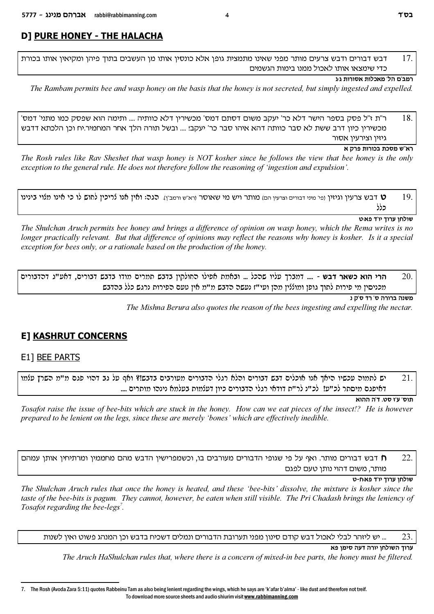# **D] PURE HONEY - THE HALACHA**

17. דבש דבורים ודבש צרעים מותר מפני שאינו מתמצית גופן אלא כונסין אותו מן העשבים בתוך פיהן ומקיאין אותו בכורת כדי שימצאו אותו לאכול ממנו בימות הגשמים

### רמב'ם הל' מאכלות אסורות גוג

The Rambam permits bee and wasp honey on the basis that the honey is not secreted, but simply ingested and expelled.

18. ר"ת ז"ל פסק בספר הישר דלא כר' יעקב משום דסתם דמס' מכשירין דלא כוותיה .... ותימה הוא שפסק כמו מתני' דמס' מכשירין כיון דרב ששת לא סבר כוותה דהא איהו סבר כר' יעקב! .... ובשל תורה הלך אחר המחמיר.יח וכן הלכתא דדבש גיזין וצירעין אסור

#### רא"ש מסכת בכורות פרק א

The Rosh rules like Rav Sheshet that wasp honey is NOT kosher since he follows the view that bee honey is the only exception to the general rule. He does not therefore follow the reasoning of 'ingestion and expulsion'.

ט דבש צרעין וגיזין ופי מיני דבורים וצרעין הם) מותר ויש מי שאוסר ורא"ש ורמב"ן). הגה: ואין אנו לריכין לחוש לו כי אינו מלוי בינינו 19 כלל

#### שולחן ערוך יו״ד פאיט

The Shulchan Aruch permits bee honey and brings a difference of opinion on wasp honey, which the Rema writes is no longer practically relevant. But that difference of opinions may reflect the reasons why honey is kosher. Is it a special exception for bees only, or a rationale based on the production of the honey.

הרי הוא כשאר דבש - .... דמברך עליו שהכל ... ובאמת אפילו החולקין בדבש תמרים מודו בדבש דבורים, דאע"ג דהדבורים 20. מכניסין מי פירות לתוך גופן ומוללין מהן ועי"ז נעשה הדבש מ"מ אין טעם הפירות נרגש כלל בהדבש

משנה ברורה ס' רד ס'ק נ

The Mishna Berura also quotes the reason of the bees ingesting and expelling the nectar.

# **E] KASHRUT CONCERNS**

# E1] BEE PARTS

יש לתמור עכשיו היאך אנו אוכלים דבש דבורים והלא רגלי הדבורים מעורבים בדבש!? ואף על גב דהוי פגם מ"מ השרץ עלמו 21. דאיפגם מיסתר לכ"ע! לכ"נ לר"ת דודאי רגלי הדבורים כיון דעלמות בעלמא נינהו מותרים ....

תוס' ע'ז סט. ד'ה ההוא

Tosafot raise the issue of bee-bits which are stuck in the honey. How can we eat pieces of the insect!? He is however prepared to be lenient on the legs, since these are merely 'bones' which are effectively inedible.

22. ה דבש דבורים מותר. ואף על פי שגופי הדבורים מעורבים בו, וכשמפרישין הדבש מהם מחממין ומרתיחין אותן עמהם **(ד** מותר, משום דהוי נותן טעם לפגם

### שולחן ערוך יו״ד פאוח-ט

The Shulchan Aruch rules that once the honey is heated, and these 'bee-bits' dissolve, the mixture is kosher since the taste of the bee-bits is pagum. They cannot, however, be eaten when still visible. The Pri Chadash brings the leniency of Tosafot regarding the bee-legs<sup>7</sup>.

... יש ליזהר לבלי לאכול דבש קודם סינון מפני תערובת הדבורים ונמלים דשכיח בדבש וכן המנהג פשוט ואין לשנות つく

ערוד השולחו יורה דעה סימו פא

The Aruch HaShulchan rules that, where there is a concern of mixed-in bee parts, the honey must be filtered.

The Rosh (Avoda Zara 5:11) quotes Rabbeinu Tam as also being lenient regarding the wings, which he says are 'k'afar b'alma' - like dust and therefore not treif.  $\overline{7}$ To download more source sheets and audio shiurim visit www.rabbimanning.com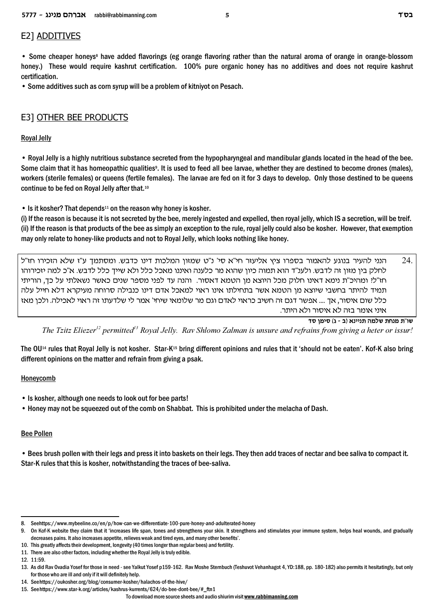# E2] ADDITIVES

• Some cheaper honeys<sup>8</sup> have added flavorings (eg orange flavoring rather than the natural aroma of orange in orange-blossom honey.) These would require kashrut certification. 100% pure organic honey has no additives and does not require kashrut certification.

• Some additives such as corn syrup will be a problem of kitniyot on Pesach.

# E3] OTHER BEE PRODUCTS

### Royal Jelly

• Royal Jelly is a highly nutritious substance secreted from the hypopharyngeal and mandibular glands located in the head of the bee. Some claim that it has homeopathic qualities<sup>9</sup>. It is used to feed all bee larvae, whether they are destined to become drones (males), workers (sterile females) or queens (fertile females). The larvae are fed on it for 3 days to develop. Only those destined to be queens continue to be fed on Royal Jelly after that.<sup>10</sup>

• Is it kosher? That depends<sup>11</sup> on the reason why honey is kosher.

(i) If the reason is because it is not secreted by the bee, merely ingested and expelled, then royal jelly, which IS a secretion, will be treif. (ii) If the reason is that products of the bee as simply an exception to the rule, royal jelly could also be kosher. However, that exemption may only relate to honey-like products and not to Royal Jelly, which looks nothing like honey.

 $24$ הנני להעיר בנוגע להאמור בספרו ציץ אליעזר חי"א סי' נ"ט שמזון המלכות דינו כדבש. ומסתמך ע"ז שלא הזכירו חז"ל . לחלק בין מזון זה לדבש. ולענ"ד הוא תמוה כיון שהוא מר כלענה ואיננו מאכל כלל ולא שייך כלל לדבש. א"כ למה יזכירוהו חז"ל? ומהיכ"ת נימא דאינו חלוק מכל היוצא מן הטמא דאסור. והנה עד לפני מספר שנים כאשר נשאלתי על כך, הוריתי תמיד להיתר בחשבי שיוצא מן הטמא אשר בתחילתו אינו ראוי למאכל אדם דינו כנבילה סרוחה מעיקרא דלא חייל עלה כלל שום איסור, אך …. אפשר דגם זה חשיב כראוי לאדם וגם מר שלומאי שיחי' אמר לי שלדעתו זה ראוי לאכילה. ולכן מאז איני אומר בזה לא איסור ולא היתר.

שו"ת מנחת שלמה תניינא (ב - ג) סימן סד

The Tzitz Eliezer<sup>12</sup> permitted<sup>13</sup> Royal Jelly. Rav Shlomo Zalman is unsure and refrains from giving a heter or issur!

The OU<sup>14</sup> rules that Royal Jelly is not kosher. Star-K<sup>15</sup> bring different opinions and rules that it 'should not be eaten'. Kof-K also bring different opinions on the matter and refrain from giving a psak.

### **Honeycomb**

- Is kosher, although one needs to look out for bee parts!
- Honey may not be squeezed out of the comb on Shabbat. This is prohibited under the melacha of Dash.

### Bee Pollen

• Bees brush pollen with their legs and press it into baskets on their legs. They then add traces of nectar and bee saliva to compact it. Star-K rules that this is kosher, notwithstanding the traces of bee-saliva.

<sup>8.</sup> Seehttps://www.mybeeline.co/en/p/how-can-we-differentiate-100-pure-honey-and-adulterated-honey

<sup>9.</sup> On Kof-K website they claim that it 'increases life span, tones and strengthens your skin. It strengthens and stimulates your immune system, helps heal wounds, and gradually decreases pains. It also increases appetite, relieves weak and tired eyes, and many other benefits'.

<sup>10.</sup> This greatly affects their development, longevity (40 times longer than regular bees) and fertility.

<sup>11.</sup> There are also other factors, including whether the Royal Jelly is truly edible.

<sup>12. 11:59.</sup>

<sup>13.</sup> As did Rav Ovadia Yosef for those in need - see Yalkut Yosef p159-162. Rav Moshe Sternbuch (Teshuvot Vehanhagot 4, YD:188, pp. 180-182) also permits it hesitatingly, but only for those who are ill and only if it will definitely help.

<sup>14.</sup> See https://oukosher.org/blog/consumer-kosher/halachos-of-the-hive/

<sup>15.</sup> See https://www.star-k.org/articles/kashrus-kurrents/624/do-bee-dont-bee/#\_ftn1